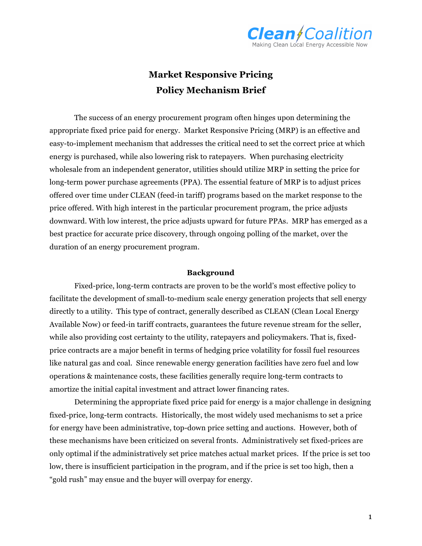

# **Market Responsive Pricing Policy Mechanism Brief**

The success of an energy procurement program often hinges upon determining the appropriate fixed price paid for energy. Market Responsive Pricing (MRP) is an effective and easy-to-implement mechanism that addresses the critical need to set the correct price at which energy is purchased, while also lowering risk to ratepayers. When purchasing electricity wholesale from an independent generator, utilities should utilize MRP in setting the price for long-term power purchase agreements (PPA). The essential feature of MRP is to adjust prices offered over time under CLEAN (feed-in tariff) programs based on the market response to the price offered. With high interest in the particular procurement program, the price adjusts downward. With low interest, the price adjusts upward for future PPAs. MRP has emerged as a best practice for accurate price discovery, through ongoing polling of the market, over the duration of an energy procurement program.

### **Background**

Fixed-price, long-term contracts are proven to be the world's most effective policy to facilitate the development of small-to-medium scale energy generation projects that sell energy directly to a utility. This type of contract, generally described as CLEAN (Clean Local Energy Available Now) or feed-in tariff contracts, guarantees the future revenue stream for the seller, while also providing cost certainty to the utility, ratepayers and policymakers. That is, fixedprice contracts are a major benefit in terms of hedging price volatility for fossil fuel resources like natural gas and coal. Since renewable energy generation facilities have zero fuel and low operations & maintenance costs, these facilities generally require long-term contracts to amortize the initial capital investment and attract lower financing rates.

Determining the appropriate fixed price paid for energy is a major challenge in designing fixed-price, long-term contracts. Historically, the most widely used mechanisms to set a price for energy have been administrative, top-down price setting and auctions. However, both of these mechanisms have been criticized on several fronts. Administratively set fixed-prices are only optimal if the administratively set price matches actual market prices. If the price is set too low, there is insufficient participation in the program, and if the price is set too high, then a "gold rush" may ensue and the buyer will overpay for energy.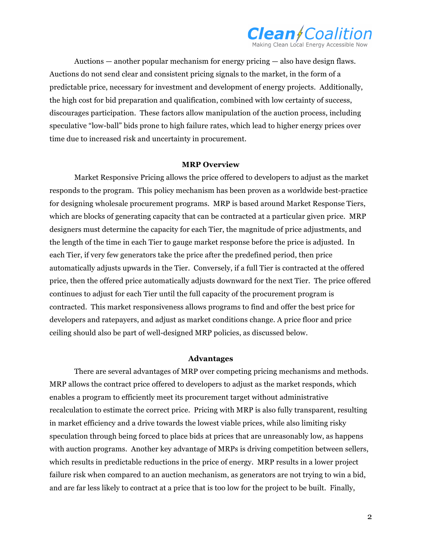

Auctions — another popular mechanism for energy pricing — also have design flaws. Auctions do not send clear and consistent pricing signals to the market, in the form of a predictable price, necessary for investment and development of energy projects. Additionally, the high cost for bid preparation and qualification, combined with low certainty of success, discourages participation. These factors allow manipulation of the auction process, including speculative "low-ball" bids prone to high failure rates, which lead to higher energy prices over time due to increased risk and uncertainty in procurement.

#### **MRP Overview**

Market Responsive Pricing allows the price offered to developers to adjust as the market responds to the program. This policy mechanism has been proven as a worldwide best-practice for designing wholesale procurement programs. MRP is based around Market Response Tiers, which are blocks of generating capacity that can be contracted at a particular given price. MRP designers must determine the capacity for each Tier, the magnitude of price adjustments, and the length of the time in each Tier to gauge market response before the price is adjusted. In each Tier, if very few generators take the price after the predefined period, then price automatically adjusts upwards in the Tier. Conversely, if a full Tier is contracted at the offered price, then the offered price automatically adjusts downward for the next Tier. The price offered continues to adjust for each Tier until the full capacity of the procurement program is contracted. This market responsiveness allows programs to find and offer the best price for developers and ratepayers, and adjust as market conditions change. A price floor and price ceiling should also be part of well-designed MRP policies, as discussed below.

#### **Advantages**

There are several advantages of MRP over competing pricing mechanisms and methods. MRP allows the contract price offered to developers to adjust as the market responds, which enables a program to efficiently meet its procurement target without administrative recalculation to estimate the correct price. Pricing with MRP is also fully transparent, resulting in market efficiency and a drive towards the lowest viable prices, while also limiting risky speculation through being forced to place bids at prices that are unreasonably low, as happens with auction programs. Another key advantage of MRPs is driving competition between sellers, which results in predictable reductions in the price of energy. MRP results in a lower project failure risk when compared to an auction mechanism, as generators are not trying to win a bid, and are far less likely to contract at a price that is too low for the project to be built. Finally,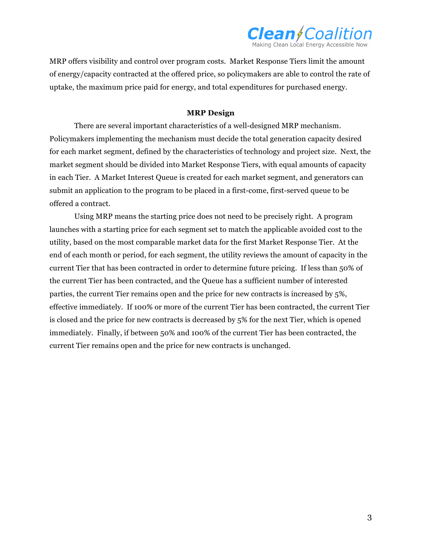

MRP offers visibility and control over program costs. Market Response Tiers limit the amount of energy/capacity contracted at the offered price, so policymakers are able to control the rate of uptake, the maximum price paid for energy, and total expenditures for purchased energy.

## **MRP Design**

There are several important characteristics of a well-designed MRP mechanism. Policymakers implementing the mechanism must decide the total generation capacity desired for each market segment, defined by the characteristics of technology and project size. Next, the market segment should be divided into Market Response Tiers, with equal amounts of capacity in each Tier. A Market Interest Queue is created for each market segment, and generators can submit an application to the program to be placed in a first-come, first-served queue to be offered a contract.

Using MRP means the starting price does not need to be precisely right. A program launches with a starting price for each segment set to match the applicable avoided cost to the utility, based on the most comparable market data for the first Market Response Tier. At the end of each month or period, for each segment, the utility reviews the amount of capacity in the current Tier that has been contracted in order to determine future pricing. If less than 50% of the current Tier has been contracted, and the Queue has a sufficient number of interested parties, the current Tier remains open and the price for new contracts is increased by 5%, effective immediately. If 100% or more of the current Tier has been contracted, the current Tier is closed and the price for new contracts is decreased by 5% for the next Tier, which is opened immediately. Finally, if between 50% and 100% of the current Tier has been contracted, the current Tier remains open and the price for new contracts is unchanged.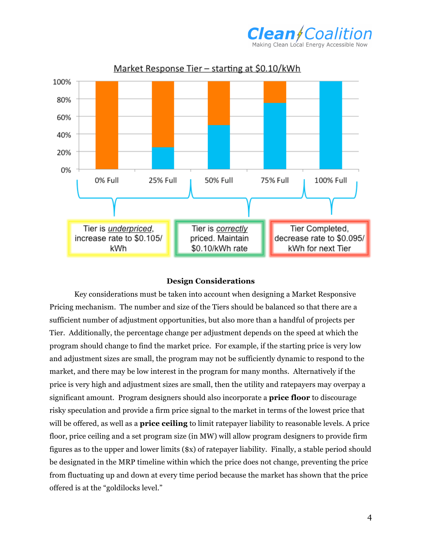



## **Design Considerations**

Key considerations must be taken into account when designing a Market Responsive Pricing mechanism. The number and size of the Tiers should be balanced so that there are a sufficient number of adjustment opportunities, but also more than a handful of projects per Tier. Additionally, the percentage change per adjustment depends on the speed at which the program should change to find the market price. For example, if the starting price is very low and adjustment sizes are small, the program may not be sufficiently dynamic to respond to the market, and there may be low interest in the program for many months. Alternatively if the price is very high and adjustment sizes are small, then the utility and ratepayers may overpay a significant amount. Program designers should also incorporate a **price floor** to discourage risky speculation and provide a firm price signal to the market in terms of the lowest price that will be offered, as well as a **price ceiling** to limit ratepayer liability to reasonable levels. A price floor, price ceiling and a set program size (in MW) will allow program designers to provide firm figures as to the upper and lower limits (\$x) of ratepayer liability. Finally, a stable period should be designated in the MRP timeline within which the price does not change, preventing the price from fluctuating up and down at every time period because the market has shown that the price offered is at the "goldilocks level."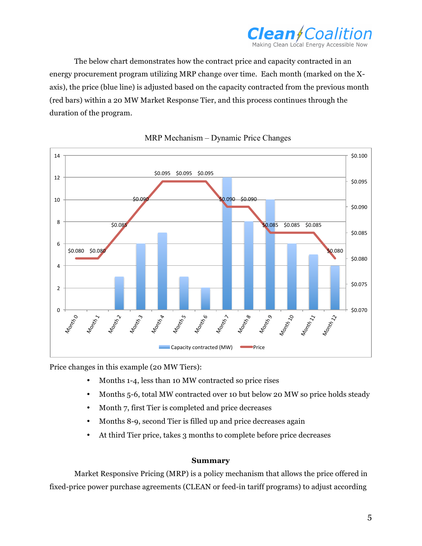

The below chart demonstrates how the contract price and capacity contracted in an energy procurement program utilizing MRP change over time. Each month (marked on the Xaxis), the price (blue line) is adjusted based on the capacity contracted from the previous month (red bars) within a 20 MW Market Response Tier, and this process continues through the duration of the program.





Price changes in this example (20 MW Tiers):

- Months 1-4, less than 10 MW contracted so price rises
- Months 5-6, total MW contracted over 10 but below 20 MW so price holds steady
- Month 7, first Tier is completed and price decreases
- Months 8-9, second Tier is filled up and price decreases again
- At third Tier price, takes 3 months to complete before price decreases

## **Summary**

Market Responsive Pricing (MRP) is a policy mechanism that allows the price offered in fixed-price power purchase agreements (CLEAN or feed-in tariff programs) to adjust according